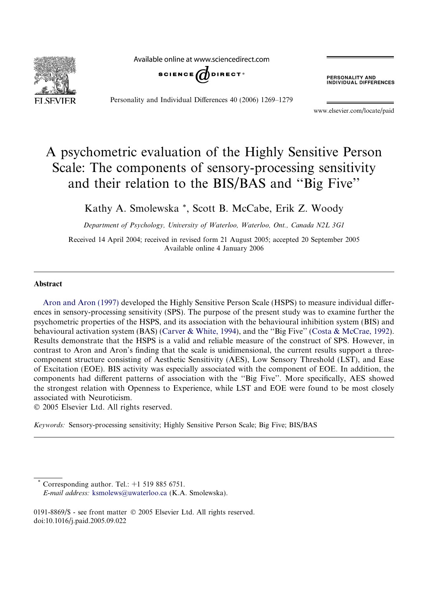SEVIER

Available online at www.sciencedirect.com



Personality and Individual Differences 40 (2006) 1269–1279

**PERSONALITY AND<br>INDIVIDUAL DIFFERENCES** 

www.elsevier.com/locate/paid

# A psychometric evaluation of the Highly Sensitive Person Scale: The components of sensory-processing sensitivity and their relation to the BIS/BAS and ''Big Five''

Kathy A. Smolewska \*, Scott B. McCabe, Erik Z. Woody

Department of Psychology, University of Waterloo, Waterloo, Ont., Canada N2L 3G1

Received 14 April 2004; received in revised form 21 August 2005; accepted 20 September 2005 Available online 4 January 2006

#### Abstract

[Aron and Aron \(1997\)](#page-9-0) developed the Highly Sensitive Person Scale (HSPS) to measure individual differences in sensory-processing sensitivity (SPS). The purpose of the present study was to examine further the psychometric properties of the HSPS, and its association with the behavioural inhibition system (BIS) and behavioural activation system (BAS) [\(Carver & White, 1994\)](#page-9-0), and the ''Big Five'' [\(Costa & McCrae, 1992\)](#page-9-0). Results demonstrate that the HSPS is a valid and reliable measure of the construct of SPS. However, in contrast to Aron and Aron's finding that the scale is unidimensional, the current results support a threecomponent structure consisting of Aesthetic Sensitivity (AES), Low Sensory Threshold (LST), and Ease of Excitation (EOE). BIS activity was especially associated with the component of EOE. In addition, the components had different patterns of association with the ''Big Five''. More specifically, AES showed the strongest relation with Openness to Experience, while LST and EOE were found to be most closely associated with Neuroticism.

2005 Elsevier Ltd. All rights reserved.

Keywords: Sensory-processing sensitivity; Highly Sensitive Person Scale; Big Five; BIS/BAS

Corresponding author. Tel.:  $+1$  519 885 6751.

E-mail address: [ksmolews@uwaterloo.ca](mailto:ksmolews@uwaterloo.ca) (K.A. Smolewska).

0191-8869/\$ - see front matter © 2005 Elsevier Ltd. All rights reserved. doi:10.1016/j.paid.2005.09.022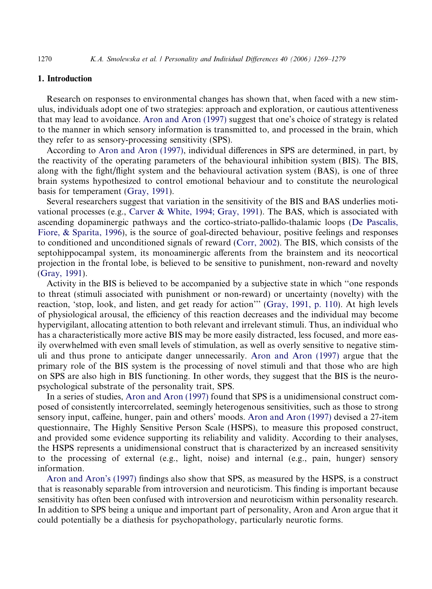#### 1. Introduction

Research on responses to environmental changes has shown that, when faced with a new stimulus, individuals adopt one of two strategies: approach and exploration, or cautious attentiveness that may lead to avoidance. [Aron and Aron \(1997\)](#page-9-0) suggest that one's choice of strategy is related to the manner in which sensory information is transmitted to, and processed in the brain, which they refer to as sensory-processing sensitivity (SPS).

According to [Aron and Aron \(1997\)](#page-9-0), individual differences in SPS are determined, in part, by the reactivity of the operating parameters of the behavioural inhibition system (BIS). The BIS, along with the fight/flight system and the behavioural activation system (BAS), is one of three brain systems hypothesized to control emotional behaviour and to constitute the neurological basis for temperament [\(Gray, 1991\)](#page-9-0).

Several researchers suggest that variation in the sensitivity of the BIS and BAS underlies motivational processes (e.g., [Carver & White, 1994; Gray, 1991\)](#page-9-0). The BAS, which is associated with ascending dopaminergic pathways and the cortico-striato-pallido-thalamic loops [\(De Pascalis,](#page-9-0) [Fiore, & Sparita, 1996\)](#page-9-0), is the source of goal-directed behaviour, positive feelings and responses to conditioned and unconditioned signals of reward [\(Corr, 2002\)](#page-9-0). The BIS, which consists of the septohippocampal system, its monoaminergic afferents from the brainstem and its neocortical projection in the frontal lobe, is believed to be sensitive to punishment, non-reward and novelty [\(Gray, 1991\)](#page-9-0).

Activity in the BIS is believed to be accompanied by a subjective state in which ''one responds to threat (stimuli associated with punishment or non-reward) or uncertainty (novelty) with the reaction, 'stop, look, and listen, and get ready for action''' [\(Gray, 1991, p. 110](#page-9-0)). At high levels of physiological arousal, the efficiency of this reaction decreases and the individual may become hypervigilant, allocating attention to both relevant and irrelevant stimuli. Thus, an individual who has a characteristically more active BIS may be more easily distracted, less focused, and more easily overwhelmed with even small levels of stimulation, as well as overly sensitive to negative stimuli and thus prone to anticipate danger unnecessarily. [Aron and Aron \(1997\)](#page-9-0) argue that the primary role of the BIS system is the processing of novel stimuli and that those who are high on SPS are also high in BIS functioning. In other words, they suggest that the BIS is the neuropsychological substrate of the personality trait, SPS.

In a series of studies, [Aron and Aron \(1997\)](#page-9-0) found that SPS is a unidimensional construct composed of consistently intercorrelated, seemingly heterogenous sensitivities, such as those to strong sensory input, caffeine, hunger, pain and others' moods. [Aron and Aron \(1997\)](#page-9-0) devised a 27-item questionnaire, The Highly Sensitive Person Scale (HSPS), to measure this proposed construct, and provided some evidence supporting its reliability and validity. According to their analyses, the HSPS represents a unidimensional construct that is characterized by an increased sensitivity to the processing of external (e.g., light, noise) and internal (e.g., pain, hunger) sensory information.

[Aron and Aron's \(1997\)](#page-9-0) findings also show that SPS, as measured by the HSPS, is a construct that is reasonably separable from introversion and neuroticism. This finding is important because sensitivity has often been confused with introversion and neuroticism within personality research. In addition to SPS being a unique and important part of personality, Aron and Aron argue that it could potentially be a diathesis for psychopathology, particularly neurotic forms.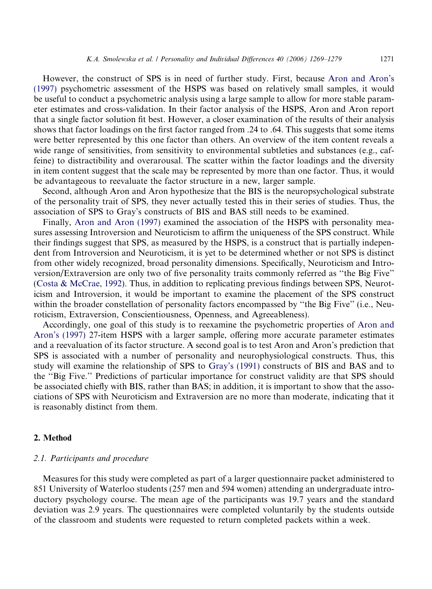However, the construct of SPS is in need of further study. First, because [Aron and Aron's](#page-9-0) [\(1997\)](#page-9-0) psychometric assessment of the HSPS was based on relatively small samples, it would be useful to conduct a psychometric analysis using a large sample to allow for more stable parameter estimates and cross-validation. In their factor analysis of the HSPS, Aron and Aron report that a single factor solution fit best. However, a closer examination of the results of their analysis shows that factor loadings on the first factor ranged from .24 to .64. This suggests that some items were better represented by this one factor than others. An overview of the item content reveals a wide range of sensitivities, from sensitivity to environmental subtleties and substances (e.g., caffeine) to distractibility and overarousal. The scatter within the factor loadings and the diversity in item content suggest that the scale may be represented by more than one factor. Thus, it would be advantageous to reevaluate the factor structure in a new, larger sample.

Second, although Aron and Aron hypothesize that the BIS is the neuropsychological substrate of the personality trait of SPS, they never actually tested this in their series of studies. Thus, the association of SPS to Gray's constructs of BIS and BAS still needs to be examined.

Finally, [Aron and Aron \(1997\)](#page-9-0) examined the association of the HSPS with personality measures assessing Introversion and Neuroticism to affirm the uniqueness of the SPS construct. While their findings suggest that SPS, as measured by the HSPS, is a construct that is partially independent from Introversion and Neuroticism, it is yet to be determined whether or not SPS is distinct from other widely recognized, broad personality dimensions. Specifically, Neuroticism and Introversion/Extraversion are only two of five personality traits commonly referred as ''the Big Five'' [\(Costa & McCrae, 1992](#page-9-0)). Thus, in addition to replicating previous findings between SPS, Neuroticism and Introversion, it would be important to examine the placement of the SPS construct within the broader constellation of personality factors encompassed by ''the Big Five'' (i.e., Neuroticism, Extraversion, Conscientiousness, Openness, and Agreeableness).

Accordingly, one goal of this study is to reexamine the psychometric properties of [Aron and](#page-9-0) [Aron's \(1997\)](#page-9-0) 27-item HSPS with a larger sample, offering more accurate parameter estimates and a reevaluation of its factor structure. A second goal is to test Aron and Aron's prediction that SPS is associated with a number of personality and neurophysiological constructs. Thus, this study will examine the relationship of SPS to [Gray's \(1991\)](#page-9-0) constructs of BIS and BAS and to the ''Big Five.'' Predictions of particular importance for construct validity are that SPS should be associated chiefly with BIS, rather than BAS; in addition, it is important to show that the associations of SPS with Neuroticism and Extraversion are no more than moderate, indicating that it is reasonably distinct from them.

#### 2. Method

#### 2.1. Participants and procedure

Measures for this study were completed as part of a larger questionnaire packet administered to 851 University of Waterloo students (257 men and 594 women) attending an undergraduate introductory psychology course. The mean age of the participants was 19.7 years and the standard deviation was 2.9 years. The questionnaires were completed voluntarily by the students outside of the classroom and students were requested to return completed packets within a week.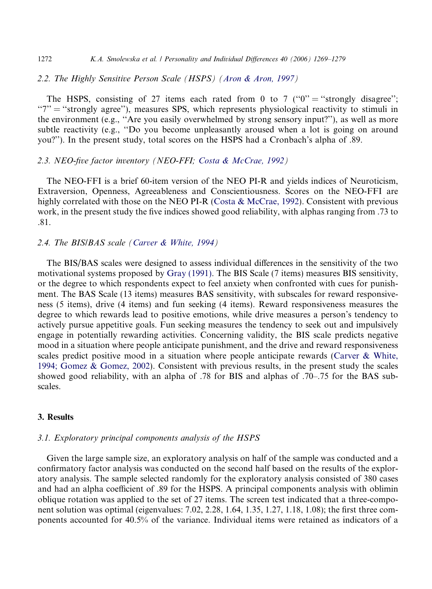### 2.2. The Highly Sensitive Person Scale (HSPS) [\(Aron & Aron, 1997\)](#page-9-0)

The HSPS, consisting of 27 items each rated from 0 to 7 (" $0$ " = "strongly disagree"; "7" = "strongly agree"), measures SPS, which represents physiological reactivity to stimuli in the environment (e.g., ''Are you easily overwhelmed by strong sensory input?''), as well as more subtle reactivity (e.g., "Do you become unpleasantly aroused when a lot is going on around you?''). In the present study, total scores on the HSPS had a Cronbach's alpha of .89.

#### 2.3. NEO-five factor inventory (NEO-FFI; [Costa & McCrae, 1992](#page-9-0))

The NEO-FFI is a brief 60-item version of the NEO PI-R and yields indices of Neuroticism, Extraversion, Openness, Agreeableness and Conscientiousness. Scores on the NEO-FFI are highly correlated with those on the NEO PI-R ([Costa & McCrae, 1992\)](#page-9-0). Consistent with previous work, in the present study the five indices showed good reliability, with alphas ranging from .73 to .81.

### 2.4. The BIS/BAS scale [\(Carver & White, 1994\)](#page-9-0)

The BIS/BAS scales were designed to assess individual differences in the sensitivity of the two motivational systems proposed by [Gray \(1991\).](#page-9-0) The BIS Scale (7 items) measures BIS sensitivity, or the degree to which respondents expect to feel anxiety when confronted with cues for punishment. The BAS Scale (13 items) measures BAS sensitivity, with subscales for reward responsiveness (5 items), drive (4 items) and fun seeking (4 items). Reward responsiveness measures the degree to which rewards lead to positive emotions, while drive measures a person's tendency to actively pursue appetitive goals. Fun seeking measures the tendency to seek out and impulsively engage in potentially rewarding activities. Concerning validity, the BIS scale predicts negative mood in a situation where people anticipate punishment, and the drive and reward responsiveness scales predict positive mood in a situation where people anticipate rewards ([Carver & White,](#page-9-0) [1994; Gomez & Gomez, 2002\)](#page-9-0). Consistent with previous results, in the present study the scales showed good reliability, with an alpha of .78 for BIS and alphas of .70–.75 for the BAS subscales.

#### 3. Results

#### 3.1. Exploratory principal components analysis of the HSPS

Given the large sample size, an exploratory analysis on half of the sample was conducted and a confirmatory factor analysis was conducted on the second half based on the results of the exploratory analysis. The sample selected randomly for the exploratory analysis consisted of 380 cases and had an alpha coefficient of .89 for the HSPS. A principal components analysis with oblimin oblique rotation was applied to the set of 27 items. The screen test indicated that a three-component solution was optimal (eigenvalues: 7.02, 2.28, 1.64, 1.35, 1.27, 1.18, 1.08); the first three components accounted for 40.5% of the variance. Individual items were retained as indicators of a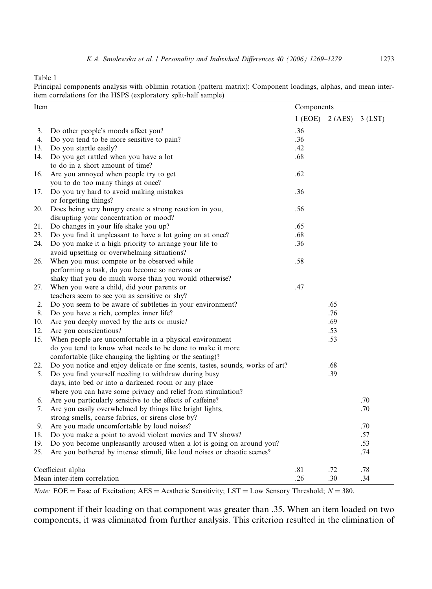<span id="page-4-0"></span>Table 1

Item Components 1 (EOE) 2 (AES) 3 (LST) 3. Do other people's moods affect you? .36 4. Do you tend to be more sensitive to pain? .36 13. Do you startle easily? .42 14. Do you get rattled when you have a lot to do in a short amount of time? .68 16. Are you annoyed when people try to get you to do too many things at once? .62 17. Do you try hard to avoid making mistakes or forgetting things? .36 20. Does being very hungry create a strong reaction in you, disrupting your concentration or mood? .56 21. Do changes in your life shake you up? .65 23. Do you find it unpleasant to have a lot going on at once? .68 24. Do you make it a high priority to arrange your life to avoid upsetting or overwhelming situations? .36 26. When you must compete or be observed while performing a task, do you become so nervous or shaky that you do much worse than you would otherwise? .58 27. When you were a child, did your parents or teachers seem to see you as sensitive or shy? .47 2. Do you seem to be aware of subtleties in your environment? .65 8. Do you have a rich, complex inner life? .76 10. Are you deeply moved by the arts or music? .69 12. Are you conscientious? .53 15. When people are uncomfortable in a physical environment do you tend to know what needs to be done to make it more comfortable (like changing the lighting or the seating)? .53 22. Do you notice and enjoy delicate or fine scents, tastes, sounds, works of art? .68 5. Do you find yourself needing to withdraw during busy days, into bed or into a darkened room or any place where you can have some privacy and relief from stimulation? .39 6. Are you particularly sensitive to the effects of caffeine? .70 7. Are you easily overwhelmed by things like bright lights, strong smells, coarse fabrics, or sirens close by? .70 9. Are you made uncomfortable by loud noises? ... ... 70 18. Do you make a point to avoid violent movies and TV shows? ... 57 19. Do you become unpleasantly aroused when a lot is going on around you? .53 25. Are you bothered by intense stimuli, like loud noises or chaotic scenes? .74 Coefficient alpha . 27 .78 .78 Mean inter-item correlation **.26** .30 .34

Principal components analysis with oblimin rotation (pattern matrix): Component loadings, alphas, and mean interitem correlations for the HSPS (exploratory split-half sample)

*Note:* EOE = Ease of Excitation;  $\overline{AES}$  = Aesthetic Sensitivity; LST = Low Sensory Threshold;  $N = 380$ .

component if their loading on that component was greater than .35. When an item loaded on two components, it was eliminated from further analysis. This criterion resulted in the elimination of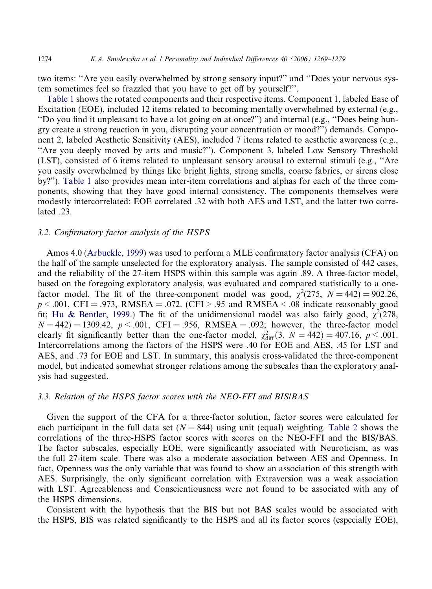two items: ''Are you easily overwhelmed by strong sensory input?'' and ''Does your nervous system sometimes feel so frazzled that you have to get off by yourself?''.

[Table 1](#page-4-0) shows the rotated components and their respective items. Component 1, labeled Ease of Excitation (EOE), included 12 items related to becoming mentally overwhelmed by external (e.g., ''Do you find it unpleasant to have a lot going on at once?'') and internal (e.g., ''Does being hungry create a strong reaction in you, disrupting your concentration or mood?'') demands. Component 2, labeled Aesthetic Sensitivity (AES), included 7 items related to aesthetic awareness (e.g., "Are you deeply moved by arts and music?"). Component 3, labeled Low Sensory Threshold (LST), consisted of 6 items related to unpleasant sensory arousal to external stimuli (e.g., ''Are you easily overwhelmed by things like bright lights, strong smells, coarse fabrics, or sirens close by?''). [Table 1](#page-4-0) also provides mean inter-item correlations and alphas for each of the three components, showing that they have good internal consistency. The components themselves were modestly intercorrelated: EOE correlated .32 with both AES and LST, and the latter two correlated .23.

#### 3.2. Confirmatory factor analysis of the HSPS

Amos 4.0 ([Arbuckle, 1999\)](#page-9-0) was used to perform a MLE confirmatory factor analysis (CFA) on the half of the sample unselected for the exploratory analysis. The sample consisted of 442 cases, and the reliability of the 27-item HSPS within this sample was again .89. A three-factor model, based on the foregoing exploratory analysis, was evaluated and compared statistically to a onefactor model. The fit of the three-component model was good,  $\chi^2(275, N = 442) = 902.26$ ,  $p < .001$ , CFI = .973, RMSEA = .072. (CFI > .95 and RMSEA < .08 indicate reasonably good fit; [Hu & Bentler, 1999.](#page-9-0)) The fit of the unidimensional model was also fairly good,  $\chi^2$  (278,  $N = 442$ ) = 1309.42,  $p < .001$ , CFI = .956, RMSEA = .092; however, the three-factor model clearly fit significantly better than the one-factor model,  $\chi^2_{\text{diff}}(3, N = 442) = 407.16, p < .001$ . Intercorrelations among the factors of the HSPS were .40 for EOE and AES, .45 for LST and AES, and .73 for EOE and LST. In summary, this analysis cross-validated the three-component model, but indicated somewhat stronger relations among the subscales than the exploratory analysis had suggested.

#### 3.3. Relation of the HSPS factor scores with the NEO-FFI and BIS/BAS

Given the support of the CFA for a three-factor solution, factor scores were calculated for each participant in the full data set  $(N = 844)$  using unit (equal) weighting. [Table 2](#page-6-0) shows the correlations of the three-HSPS factor scores with scores on the NEO-FFI and the BIS/BAS. The factor subscales, especially EOE, were significantly associated with Neuroticism, as was the full 27-item scale. There was also a moderate association between AES and Openness. In fact, Openness was the only variable that was found to show an association of this strength with AES. Surprisingly, the only significant correlation with Extraversion was a weak association with LST. Agreeableness and Conscientiousness were not found to be associated with any of the HSPS dimensions.

Consistent with the hypothesis that the BIS but not BAS scales would be associated with the HSPS, BIS was related significantly to the HSPS and all its factor scores (especially EOE),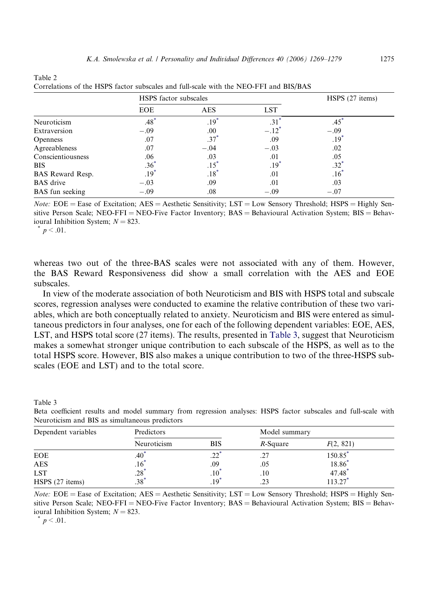|                         | HSPS factor subscales | HSPS (27 items)  |            |                  |
|-------------------------|-----------------------|------------------|------------|------------------|
|                         | <b>EOE</b>            | <b>AES</b>       | <b>LST</b> |                  |
| Neuroticism             | $.48*$                | $.19*$           | .31        | .45              |
| Extraversion            | $-.09$                | .00              | $-.12"$    | $-.09$           |
| <b>Openness</b>         | .07                   | $.37^{^{\circ}}$ | .09        | .19 <sup>°</sup> |
| Agreeableness           | .07                   | $-.04$           | $-.03$     | .02              |
| Conscientiousness       | .06                   | .03              | .01        | .05              |
| <b>BIS</b>              | $.36*$                | $.15^{\circ}$    | $.19^{*}$  | $.32*$           |
| <b>BAS</b> Reward Resp. | $.19*$                | $.18*$           | .01        | .16 <sup>°</sup> |
| <b>BAS</b> drive        | $-.03$                | .09              | .01        | .03              |
| BAS fun seeking         | $-.09$                | .08              | $-.09$     | $-.07$           |

<span id="page-6-0"></span>Table 2 Correlations of the HSPS factor subscales and full-scale with the NEO-FFI and BIS/BAS

*Note:* EOE = Ease of Excitation;  $\overline{AES} = A$ esthetic Sensitivity;  $\overline{LST} = \overline{Low}$  Sensory Threshold;  $\overline{HSPS} = \text{Highly Sen-}$ sitive Person Scale; NEO-FFI = NEO-Five Factor Inventory; BAS = Behavioural Activation System; BIS = Behavioural Inhibition System;  $N = 823$ .<br>\*  $p < .01$ .

whereas two out of the three-BAS scales were not associated with any of them. However, the BAS Reward Responsiveness did show a small correlation with the AES and EOE subscales.

In view of the moderate association of both Neuroticism and BIS with HSPS total and subscale scores, regression analyses were conducted to examine the relative contribution of these two variables, which are both conceptually related to anxiety. Neuroticism and BIS were entered as simultaneous predictors in four analyses, one for each of the following dependent variables: EOE, AES, LST, and HSPS total score (27 items). The results, presented in Table 3, suggest that Neuroticism makes a somewhat stronger unique contribution to each subscale of the HSPS, as well as to the total HSPS score. However, BIS also makes a unique contribution to two of the three-HSPS subscales (EOE and LST) and to the total score.

Table 3

Beta coefficient results and model summary from regression analyses: HSPS factor subscales and full-scale with Neuroticism and BIS as simultaneous predictors

| Dependent variables | Predictors      |               | Model summary |           |
|---------------------|-----------------|---------------|---------------|-----------|
|                     | Neuroticism     | <b>BIS</b>    | $R$ -Square   | F(2, 821) |
| <b>EOE</b>          | $.40^{\degree}$ | $\mathcal{D}$ | .27           | 150.85    |
| <b>AES</b>          | . 16            | .09           | .05           | 18.86     |
| <b>LST</b>          | $.28*$          | $.10*$        | .10           | 47.48*    |
| HSPS (27 items)     | $.38*$          | $19^*$        | .23           | $113.27*$ |

*Note:* EOE = Ease of Excitation;  $\overline{AES} = A$ esthetic Sensitivity;  $\overline{LST} = \overline{Low}$  Sensory Threshold;  $\overline{HSPS} = \text{Highly Sen-}$ sitive Person Scale; NEO-FFI = NEO-Five Factor Inventory; BAS = Behavioural Activation System; BIS = Behavioural Inhibition System;  $N = 823$ .<br>\*  $p < .01$ .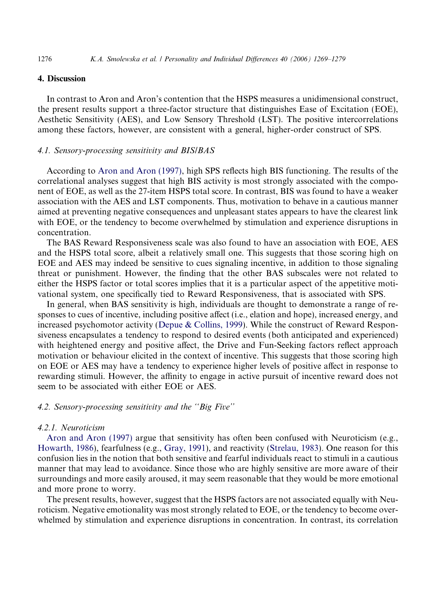### 4. Discussion

In contrast to Aron and Aron's contention that the HSPS measures a unidimensional construct, the present results support a three-factor structure that distinguishes Ease of Excitation (EOE), Aesthetic Sensitivity (AES), and Low Sensory Threshold (LST). The positive intercorrelations among these factors, however, are consistent with a general, higher-order construct of SPS.

#### 4.1. Sensory-processing sensitivity and BIS/BAS

According to [Aron and Aron \(1997\),](#page-9-0) high SPS reflects high BIS functioning. The results of the correlational analyses suggest that high BIS activity is most strongly associated with the component of EOE, as well as the 27-item HSPS total score. In contrast, BIS was found to have a weaker association with the AES and LST components. Thus, motivation to behave in a cautious manner aimed at preventing negative consequences and unpleasant states appears to have the clearest link with EOE, or the tendency to become overwhelmed by stimulation and experience disruptions in concentration.

The BAS Reward Responsiveness scale was also found to have an association with EOE, AES and the HSPS total score, albeit a relatively small one. This suggests that those scoring high on EOE and AES may indeed be sensitive to cues signaling incentive, in addition to those signaling threat or punishment. However, the finding that the other BAS subscales were not related to either the HSPS factor or total scores implies that it is a particular aspect of the appetitive motivational system, one specifically tied to Reward Responsiveness, that is associated with SPS.

In general, when BAS sensitivity is high, individuals are thought to demonstrate a range of responses to cues of incentive, including positive affect (i.e., elation and hope), increased energy, and increased psychomotor activity ([Depue & Collins, 1999\)](#page-9-0). While the construct of Reward Responsiveness encapsulates a tendency to respond to desired events (both anticipated and experienced) with heightened energy and positive affect, the Drive and Fun-Seeking factors reflect approach motivation or behaviour elicited in the context of incentive. This suggests that those scoring high on EOE or AES may have a tendency to experience higher levels of positive affect in response to rewarding stimuli. However, the affinity to engage in active pursuit of incentive reward does not seem to be associated with either EOE or AES.

# 4.2. Sensory-processing sensitivity and the ''Big Five''

### 4.2.1. Neuroticism

[Aron and Aron \(1997\)](#page-9-0) argue that sensitivity has often been confused with Neuroticism (e.g., [Howarth, 1986\)](#page-9-0), fearfulness (e.g., [Gray, 1991](#page-9-0)), and reactivity [\(Strelau, 1983](#page-10-0)). One reason for this confusion lies in the notion that both sensitive and fearful individuals react to stimuli in a cautious manner that may lead to avoidance. Since those who are highly sensitive are more aware of their surroundings and more easily aroused, it may seem reasonable that they would be more emotional and more prone to worry.

The present results, however, suggest that the HSPS factors are not associated equally with Neuroticism. Negative emotionality was most strongly related to EOE, or the tendency to become overwhelmed by stimulation and experience disruptions in concentration. In contrast, its correlation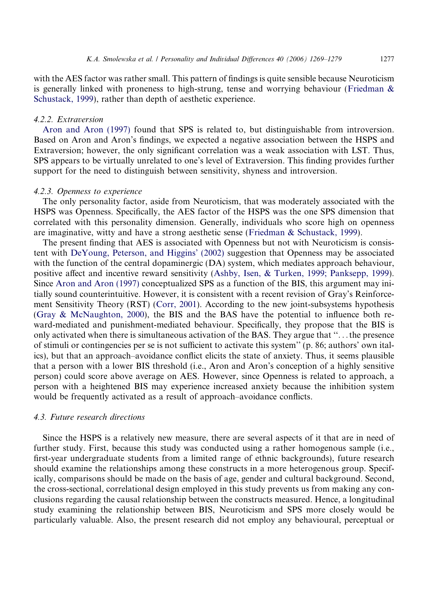with the AES factor was rather small. This pattern of findings is quite sensible because Neuroticism is generally linked with proneness to high-strung, tense and worrying behaviour [\(Friedman &](#page-9-0) [Schustack, 1999\)](#page-9-0), rather than depth of aesthetic experience.

# 4.2.2. Extraversion

[Aron and Aron \(1997\)](#page-9-0) found that SPS is related to, but distinguishable from introversion. Based on Aron and Aron's findings, we expected a negative association between the HSPS and Extraversion; however, the only significant correlation was a weak association with LST. Thus, SPS appears to be virtually unrelated to one's level of Extraversion. This finding provides further support for the need to distinguish between sensitivity, shyness and introversion.

#### 4.2.3. Openness to experience

The only personality factor, aside from Neuroticism, that was moderately associated with the HSPS was Openness. Specifically, the AES factor of the HSPS was the one SPS dimension that correlated with this personality dimension. Generally, individuals who score high on openness are imaginative, witty and have a strong aesthetic sense [\(Friedman & Schustack, 1999](#page-9-0)).

The present finding that AES is associated with Openness but not with Neuroticism is consistent with [DeYoung, Peterson, and Higgins' \(2002\)](#page-9-0) suggestion that Openness may be associated with the function of the central dopaminergic (DA) system, which mediates approach behaviour, positive affect and incentive reward sensitivity ([Ashby, Isen, & Turken, 1999; Panksepp, 1999](#page-9-0)). Since [Aron and Aron \(1997\)](#page-9-0) conceptualized SPS as a function of the BIS, this argument may initially sound counterintuitive. However, it is consistent with a recent revision of Gray's Reinforcement Sensitivity Theory (RST) ([Corr, 2001\)](#page-9-0). According to the new joint-subsystems hypothesis [\(Gray & McNaughton, 2000\)](#page-9-0), the BIS and the BAS have the potential to influence both reward-mediated and punishment-mediated behaviour. Specifically, they propose that the BIS is only activated when there is simultaneous activation of the BAS. They argue that ''...the presence of stimuli or contingencies per se is not sufficient to activate this system'' (p. 86; authors' own italics), but that an approach–avoidance conflict elicits the state of anxiety. Thus, it seems plausible that a person with a lower BIS threshold (i.e., Aron and Aron's conception of a highly sensitive person) could score above average on AES. However, since Openness is related to approach, a person with a heightened BIS may experience increased anxiety because the inhibition system would be frequently activated as a result of approach–avoidance conflicts.

#### 4.3. Future research directions

Since the HSPS is a relatively new measure, there are several aspects of it that are in need of further study. First, because this study was conducted using a rather homogenous sample (i.e., first-year undergraduate students from a limited range of ethnic backgrounds), future research should examine the relationships among these constructs in a more heterogenous group. Specifically, comparisons should be made on the basis of age, gender and cultural background. Second, the cross-sectional, correlational design employed in this study prevents us from making any conclusions regarding the causal relationship between the constructs measured. Hence, a longitudinal study examining the relationship between BIS, Neuroticism and SPS more closely would be particularly valuable. Also, the present research did not employ any behavioural, perceptual or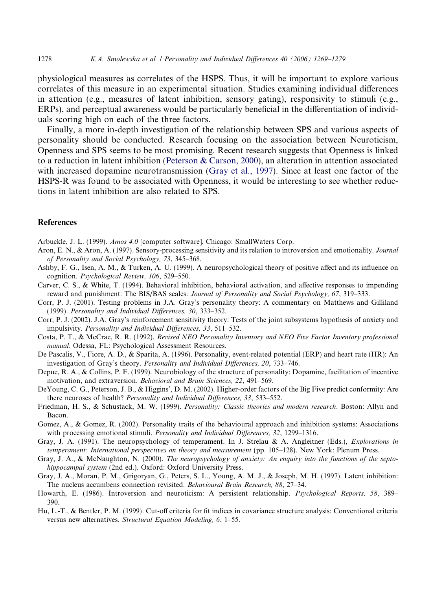<span id="page-9-0"></span>physiological measures as correlates of the HSPS. Thus, it will be important to explore various correlates of this measure in an experimental situation. Studies examining individual differences in attention (e.g., measures of latent inhibition, sensory gating), responsivity to stimuli (e.g., ERPs), and perceptual awareness would be particularly beneficial in the differentiation of individuals scoring high on each of the three factors.

Finally, a more in-depth investigation of the relationship between SPS and various aspects of personality should be conducted. Research focusing on the association between Neuroticism, Openness and SPS seems to be most promising. Recent research suggests that Openness is linked to a reduction in latent inhibition [\(Peterson & Carson, 2000](#page-10-0)), an alteration in attention associated with increased dopamine neurotransmission (Gray et al., 1997). Since at least one factor of the HSPS-R was found to be associated with Openness, it would be interesting to see whether reductions in latent inhibition are also related to SPS.

#### References

Arbuckle, J. L. (1999). Amos 4.0 [computer software]. Chicago: SmallWaters Corp.

- Aron, E. N., & Aron, A. (1997). Sensory-processing sensitivity and its relation to introversion and emotionality. Journal of Personality and Social Psychology, 73, 345–368.
- Ashby, F. G., Isen, A. M., & Turken, A. U. (1999). A neuropsychological theory of positive affect and its influence on cognition. Psychological Review, 106, 529–550.
- Carver, C. S., & White, T. (1994). Behavioral inhibition, behavioral activation, and affective responses to impending reward and punishment: The BIS/BAS scales. Journal of Personality and Social Psychology, 67, 319–333.
- Corr, P. J. (2001). Testing problems in J.A. Gray's personality theory: A commentary on Matthews and Gilliland (1999). Personality and Individual Differences, 30, 333–352.
- Corr, P. J. (2002). J.A. Gray's reinforcement sensitivity theory: Tests of the joint subsystems hypothesis of anxiety and impulsivity. Personality and Individual Differences, 33, 511–532.
- Costa, P. T., & McCrae, R. R. (1992). Revised NEO Personality Inventory and NEO Five Factor Inventory professional manual. Odessa, FL: Psychological Assessment Resources.
- De Pascalis, V., Fiore, A. D., & Sparita, A. (1996). Personality, event-related potential (ERP) and heart rate (HR): An investigation of Gray's theory. Personality and Individual Differences, 20, 733–746.
- Depue, R. A., & Collins, P. F. (1999). Neurobiology of the structure of personality: Dopamine, facilitation of incentive motivation, and extraversion. Behavioral and Brain Sciences, 22, 491–569.
- DeYoung, C. G., Peterson, J. B., & Higgins', D. M. (2002). Higher-order factors of the Big Five predict conformity: Are there neuroses of health? Personality and Individual Differences, 33, 533–552.
- Friedman, H. S., & Schustack, M. W. (1999). Personality: Classic theories and modern research. Boston: Allyn and Bacon.
- Gomez, A., & Gomez, R. (2002). Personality traits of the behavioural approach and inhibition systems: Associations with processing emotional stimuli. Personality and Individual Differences, 32, 1299–1316.
- Gray, J. A. (1991). The neuropsychology of temperament. In J. Strelau & A. Angleitner (Eds.), *Explorations in* temperament: International perspectives on theory and measurement (pp. 105–128). New York: Plenum Press.
- Gray, J. A., & McNaughton, N. (2000). The neuropsychology of anxiety: An enquiry into the functions of the septohippocampal system (2nd ed.). Oxford: Oxford University Press.
- Gray, J. A., Moran, P. M., Grigoryan, G., Peters, S. L., Young, A. M. J., & Joseph, M. H. (1997). Latent inhibition: The nucleus accumbens connection revisited. Behavioural Brain Research, 88, 27–34.
- Howarth, E. (1986). Introversion and neuroticism: A persistent relationship. Psychological Reports, 58, 389– 390.
- Hu, L.-T., & Bentler, P. M. (1999). Cut-off criteria for fit indices in covariance structure analysis: Conventional criteria versus new alternatives. Structural Equation Modeling, 6, 1–55.